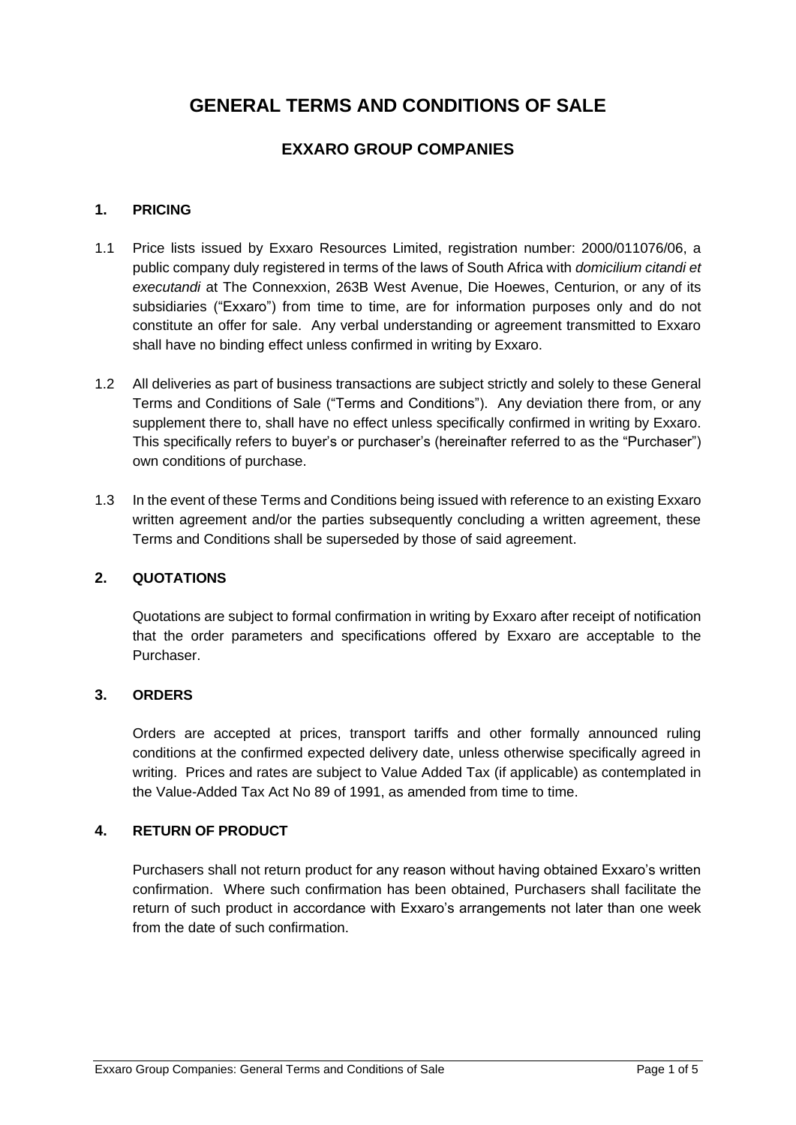# **GENERAL TERMS AND CONDITIONS OF SALE**

## **EXXARO GROUP COMPANIES**

## **1. PRICING**

- 1.1 Price lists issued by Exxaro Resources Limited, registration number: 2000/011076/06, a public company duly registered in terms of the laws of South Africa with *domicilium citandi et executandi* at The Connexxion, 263B West Avenue, Die Hoewes, Centurion, or any of its subsidiaries ("Exxaro") from time to time, are for information purposes only and do not constitute an offer for sale. Any verbal understanding or agreement transmitted to Exxaro shall have no binding effect unless confirmed in writing by Exxaro.
- 1.2 All deliveries as part of business transactions are subject strictly and solely to these General Terms and Conditions of Sale ("Terms and Conditions"). Any deviation there from, or any supplement there to, shall have no effect unless specifically confirmed in writing by Exxaro. This specifically refers to buyer's or purchaser's (hereinafter referred to as the "Purchaser") own conditions of purchase.
- 1.3 In the event of these Terms and Conditions being issued with reference to an existing Exxaro written agreement and/or the parties subsequently concluding a written agreement, these Terms and Conditions shall be superseded by those of said agreement.

#### **2. QUOTATIONS**

Quotations are subject to formal confirmation in writing by Exxaro after receipt of notification that the order parameters and specifications offered by Exxaro are acceptable to the Purchaser.

#### **3. ORDERS**

Orders are accepted at prices, transport tariffs and other formally announced ruling conditions at the confirmed expected delivery date, unless otherwise specifically agreed in writing. Prices and rates are subject to Value Added Tax (if applicable) as contemplated in the Value-Added Tax Act No 89 of 1991, as amended from time to time.

### **4. RETURN OF PRODUCT**

Purchasers shall not return product for any reason without having obtained Exxaro's written confirmation. Where such confirmation has been obtained, Purchasers shall facilitate the return of such product in accordance with Exxaro's arrangements not later than one week from the date of such confirmation.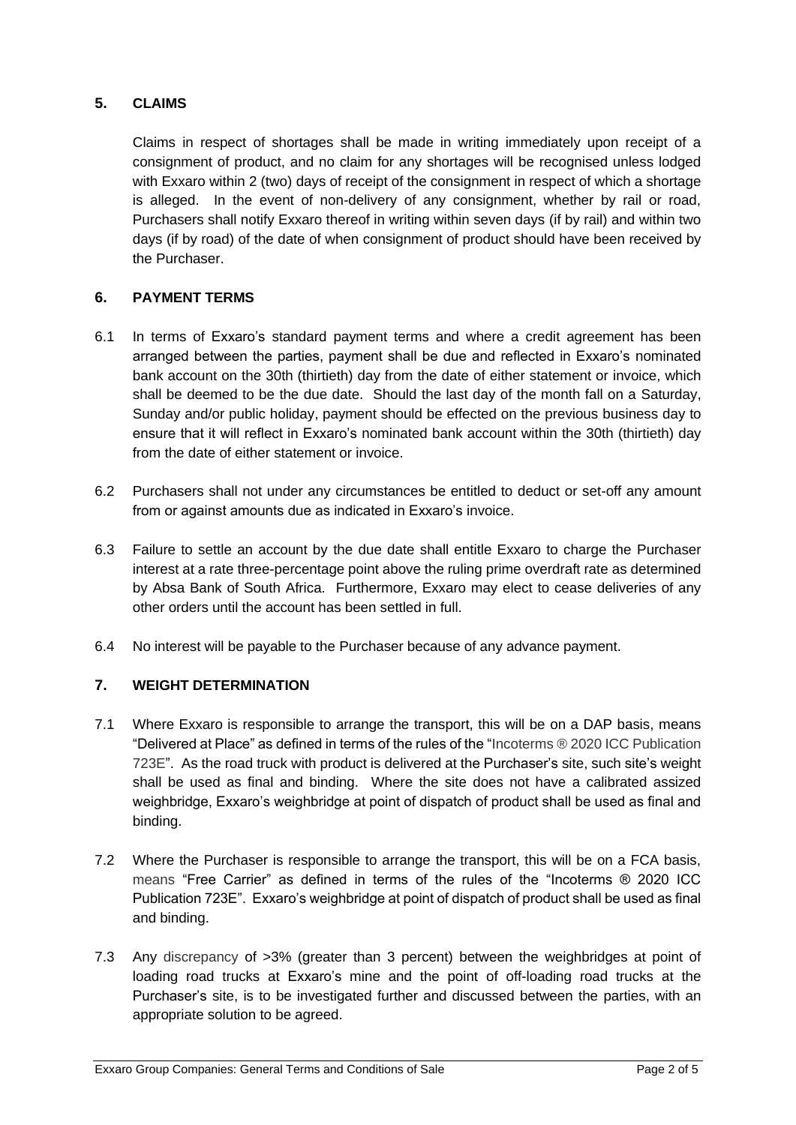## **5. CLAIMS**

Claims in respect of shortages shall be made in writing immediately upon receipt of a consignment of product, and no claim for any shortages will be recognised unless lodged with Exxaro within 2 (two) days of receipt of the consignment in respect of which a shortage is alleged. In the event of non-delivery of any consignment, whether by rail or road, Purchasers shall notify Exxaro thereof in writing within seven days (if by rail) and within two days (if by road) of the date of when consignment of product should have been received by the Purchaser.

## **6. PAYMENT TERMS**

- 6.1 In terms of Exxaro's standard payment terms and where a credit agreement has been arranged between the parties, payment shall be due and reflected in Exxaro's nominated bank account on the 30th (thirtieth) day from the date of either statement or invoice, which shall be deemed to be the due date. Should the last day of the month fall on a Saturday, Sunday and/or public holiday, payment should be effected on the previous business day to ensure that it will reflect in Exxaro's nominated bank account within the 30th (thirtieth) day from the date of either statement or invoice.
- 6.2 Purchasers shall not under any circumstances be entitled to deduct or set-off any amount from or against amounts due as indicated in Exxaro's invoice.
- 6.3 Failure to settle an account by the due date shall entitle Exxaro to charge the Purchaser interest at a rate three-percentage point above the ruling prime overdraft rate as determined by Absa Bank of South Africa. Furthermore, Exxaro may elect to cease deliveries of any other orders until the account has been settled in full.
- 6.4 No interest will be payable to the Purchaser because of any advance payment.

## **7. WEIGHT DETERMINATION**

- 7.1 Where Exxaro is responsible to arrange the transport, this will be on a DAP basis, means "Delivered at Place" as defined in terms of the rules of the "Incoterms ® 2020 ICC Publication 723E". As the road truck with product is delivered at the Purchaser's site, such site's weight shall be used as final and binding. Where the site does not have a calibrated assized weighbridge, Exxaro's weighbridge at point of dispatch of product shall be used as final and binding.
- 7.2 Where the Purchaser is responsible to arrange the transport, this will be on a FCA basis, means "Free Carrier" as defined in terms of the rules of the "Incoterms ® 2020 ICC Publication 723E". Exxaro's weighbridge at point of dispatch of product shall be used as final and binding.
- 7.3 Any discrepancy of >3% (greater than 3 percent) between the weighbridges at point of loading road trucks at Exxaro's mine and the point of off-loading road trucks at the Purchaser's site, is to be investigated further and discussed between the parties, with an appropriate solution to be agreed.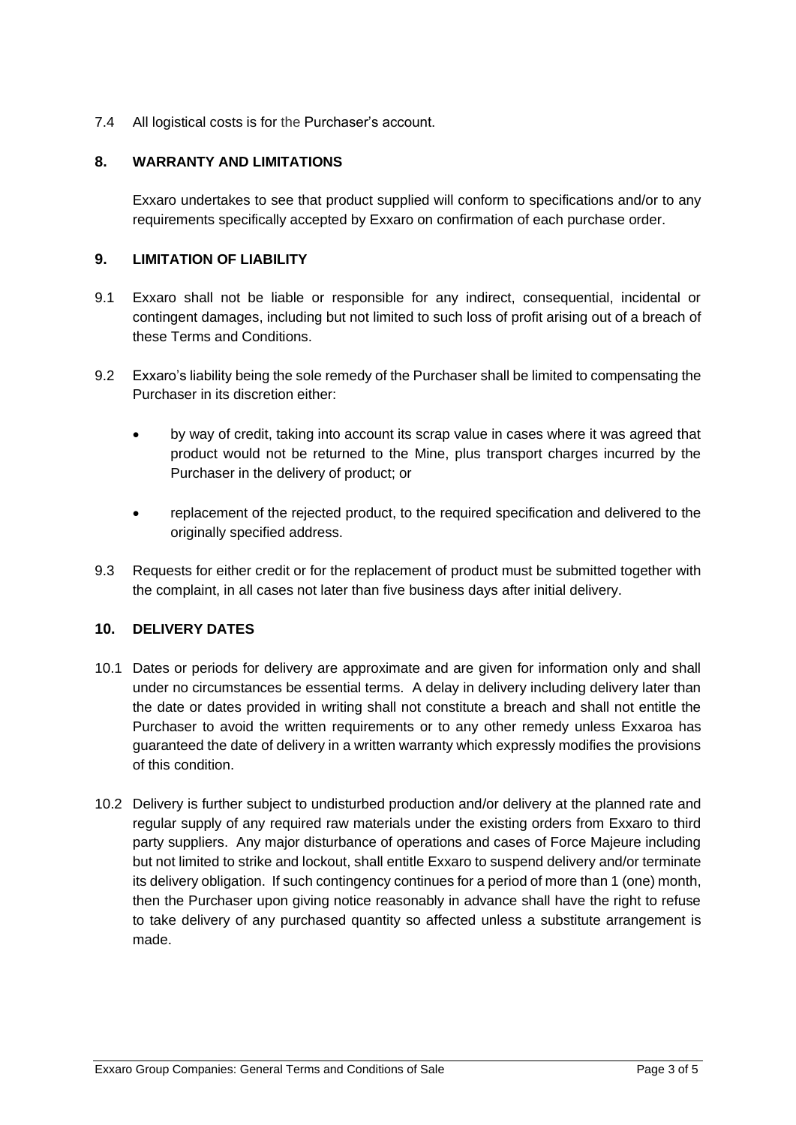7.4 All logistical costs is for the Purchaser's account.

#### **8. WARRANTY AND LIMITATIONS**

Exxaro undertakes to see that product supplied will conform to specifications and/or to any requirements specifically accepted by Exxaro on confirmation of each purchase order.

#### **9. LIMITATION OF LIABILITY**

- 9.1 Exxaro shall not be liable or responsible for any indirect, consequential, incidental or contingent damages, including but not limited to such loss of profit arising out of a breach of these Terms and Conditions.
- 9.2 Exxaro's liability being the sole remedy of the Purchaser shall be limited to compensating the Purchaser in its discretion either:
	- by way of credit, taking into account its scrap value in cases where it was agreed that product would not be returned to the Mine, plus transport charges incurred by the Purchaser in the delivery of product; or
	- replacement of the rejected product, to the required specification and delivered to the originally specified address.
- 9.3 Requests for either credit or for the replacement of product must be submitted together with the complaint, in all cases not later than five business days after initial delivery.

#### **10. DELIVERY DATES**

- 10.1 Dates or periods for delivery are approximate and are given for information only and shall under no circumstances be essential terms. A delay in delivery including delivery later than the date or dates provided in writing shall not constitute a breach and shall not entitle the Purchaser to avoid the written requirements or to any other remedy unless Exxaroa has guaranteed the date of delivery in a written warranty which expressly modifies the provisions of this condition.
- 10.2 Delivery is further subject to undisturbed production and/or delivery at the planned rate and regular supply of any required raw materials under the existing orders from Exxaro to third party suppliers. Any major disturbance of operations and cases of Force Majeure including but not limited to strike and lockout, shall entitle Exxaro to suspend delivery and/or terminate its delivery obligation. If such contingency continues for a period of more than 1 (one) month, then the Purchaser upon giving notice reasonably in advance shall have the right to refuse to take delivery of any purchased quantity so affected unless a substitute arrangement is made.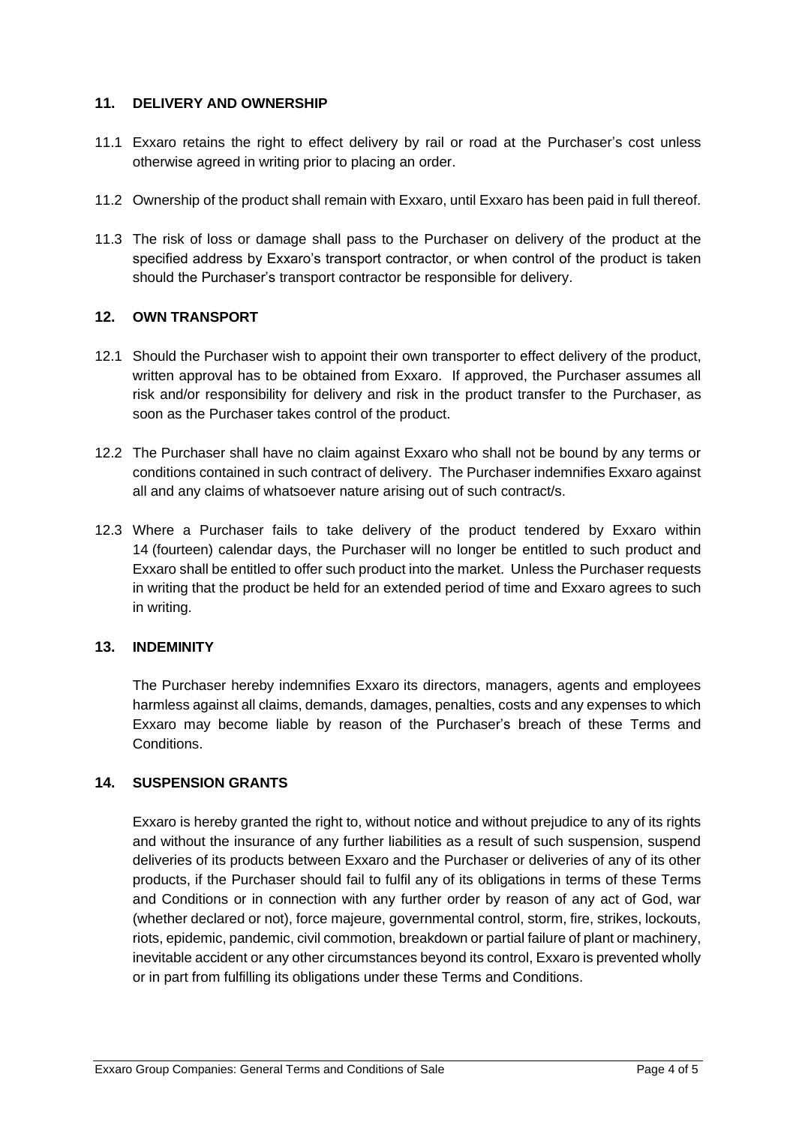#### **11. DELIVERY AND OWNERSHIP**

- 11.1 Exxaro retains the right to effect delivery by rail or road at the Purchaser's cost unless otherwise agreed in writing prior to placing an order.
- 11.2 Ownership of the product shall remain with Exxaro, until Exxaro has been paid in full thereof.
- 11.3 The risk of loss or damage shall pass to the Purchaser on delivery of the product at the specified address by Exxaro's transport contractor, or when control of the product is taken should the Purchaser's transport contractor be responsible for delivery.

### **12. OWN TRANSPORT**

- 12.1 Should the Purchaser wish to appoint their own transporter to effect delivery of the product, written approval has to be obtained from Exxaro. If approved, the Purchaser assumes all risk and/or responsibility for delivery and risk in the product transfer to the Purchaser, as soon as the Purchaser takes control of the product.
- 12.2 The Purchaser shall have no claim against Exxaro who shall not be bound by any terms or conditions contained in such contract of delivery. The Purchaser indemnifies Exxaro against all and any claims of whatsoever nature arising out of such contract/s.
- 12.3 Where a Purchaser fails to take delivery of the product tendered by Exxaro within 14 (fourteen) calendar days, the Purchaser will no longer be entitled to such product and Exxaro shall be entitled to offer such product into the market. Unless the Purchaser requests in writing that the product be held for an extended period of time and Exxaro agrees to such in writing.

#### **13. INDEMINITY**

The Purchaser hereby indemnifies Exxaro its directors, managers, agents and employees harmless against all claims, demands, damages, penalties, costs and any expenses to which Exxaro may become liable by reason of the Purchaser's breach of these Terms and **Conditions** 

#### **14. SUSPENSION GRANTS**

Exxaro is hereby granted the right to, without notice and without prejudice to any of its rights and without the insurance of any further liabilities as a result of such suspension, suspend deliveries of its products between Exxaro and the Purchaser or deliveries of any of its other products, if the Purchaser should fail to fulfil any of its obligations in terms of these Terms and Conditions or in connection with any further order by reason of any act of God, war (whether declared or not), force majeure, governmental control, storm, fire, strikes, lockouts, riots, epidemic, pandemic, civil commotion, breakdown or partial failure of plant or machinery, inevitable accident or any other circumstances beyond its control, Exxaro is prevented wholly or in part from fulfilling its obligations under these Terms and Conditions.